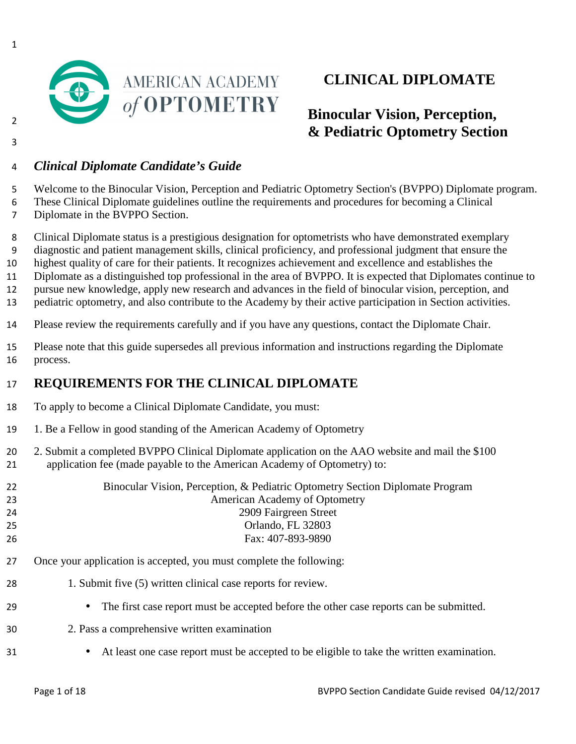

# **CLINICAL DIPLOMATE**

# **Binocular Vision, Perception, & Pediatric Optometry Section**

### *Clinical Diplomate Candidate's Guide*

Welcome to the Binocular Vision, Perception and Pediatric Optometry Section's (BVPPO) Diplomate program. These Clinical Diplomate guidelines outline the requirements and procedures for becoming a Clinical

Diplomate in the BVPPO Section.

Clinical Diplomate status is a prestigious designation for optometrists who have demonstrated exemplary

diagnostic and patient management skills, clinical proficiency, and professional judgment that ensure the

highest quality of care for their patients. It recognizes achievement and excellence and establishes the

Diplomate as a distinguished top professional in the area of BVPPO. It is expected that Diplomates continue to

pursue new knowledge, apply new research and advances in the field of binocular vision, perception, and

pediatric optometry, and also contribute to the Academy by their active participation in Section activities.

Please review the requirements carefully and if you have any questions, contact the Diplomate Chair.

Please note that this guide supersedes all previous information and instructions regarding the Diplomate process.

### **REQUIREMENTS FOR THE CLINICAL DIPLOMATE**

- To apply to become a Clinical Diplomate Candidate, you must:
- 1. Be a Fellow in good standing of the American Academy of Optometry
- 20 2. Submit a completed BVPPO Clinical Diplomate application on the AAO website and mail the \$100 application fee (made payable to the American Academy of Optometry) to:

Binocular Vision, Perception, & Pediatric Optometry Section Diplomate Program American Academy of Optometry 2909 Fairgreen Street Orlando, FL 32803 Fax: 407-893-9890

- Once your application is accepted, you must complete the following:
- 28 1. Submit five (5) written clinical case reports for review.
- The first case report must be accepted before the other case reports can be submitted.
- 2. Pass a comprehensive written examination
- At least one case report must be accepted to be eligible to take the written examination.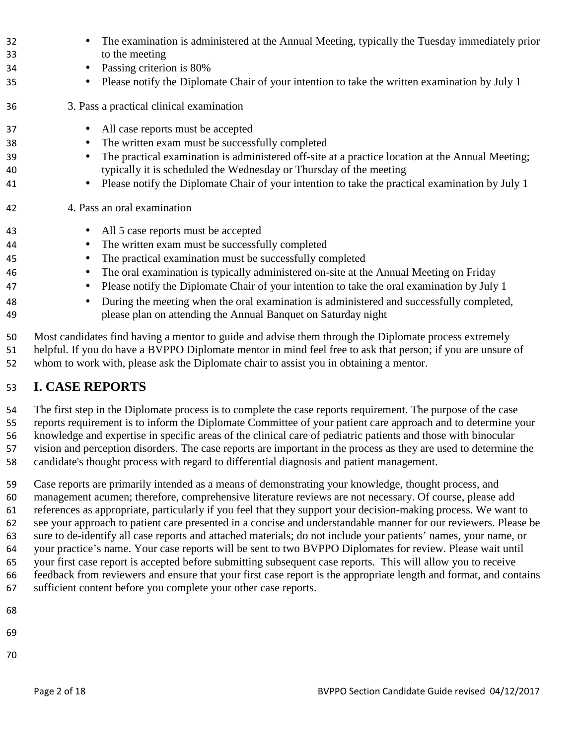| 32 | The examination is administered at the Annual Meeting, typically the Tuesday immediately prior                |
|----|---------------------------------------------------------------------------------------------------------------|
| 33 | to the meeting                                                                                                |
| 34 | Passing criterion is 80%                                                                                      |
| 35 | Please notify the Diplomate Chair of your intention to take the written examination by July 1                 |
| 36 | 3. Pass a practical clinical examination                                                                      |
| 37 | All case reports must be accepted<br>$\bullet$                                                                |
| 38 | The written exam must be successfully completed<br>$\bullet$                                                  |
| 39 | The practical examination is administered off-site at a practice location at the Annual Meeting;<br>$\bullet$ |
| 40 | typically it is scheduled the Wednesday or Thursday of the meeting                                            |
| 41 | Please notify the Diplomate Chair of your intention to take the practical examination by July 1               |
| 42 | 4. Pass an oral examination                                                                                   |
| 43 | All 5 case reports must be accepted<br>$\bullet$                                                              |
| 44 | The written exam must be successfully completed<br>$\bullet$                                                  |
| 45 | The practical examination must be successfully completed                                                      |
| 46 | The oral examination is typically administered on-site at the Annual Meeting on Friday<br>$\bullet$           |
| 47 | Please notify the Diplomate Chair of your intention to take the oral examination by July 1<br>$\bullet$       |
| 48 | During the meeting when the oral examination is administered and successfully completed,                      |
| 49 | please plan on attending the Annual Banquet on Saturday night                                                 |
| 50 | Most candidates find having a mentor to guide and advise them through the Diplomate process extremely         |
| 51 | helpful. If you do have a BVPPO Diplomate mentor in mind feel free to ask that person; if you are unsure of   |
| 52 | whom to work with, please ask the Diplomate chair to assist you in obtaining a mentor.                        |

### **I. CASE REPORTS**

The first step in the Diplomate process is to complete the case reports requirement. The purpose of the case reports requirement is to inform the Diplomate Committee of your patient care approach and to determine your knowledge and expertise in specific areas of the clinical care of pediatric patients and those with binocular vision and perception disorders. The case reports are important in the process as they are used to determine the candidate's thought process with regard to differential diagnosis and patient management.

Case reports are primarily intended as a means of demonstrating your knowledge, thought process, and management acumen; therefore, comprehensive literature reviews are not necessary. Of course, please add references as appropriate, particularly if you feel that they support your decision-making process. We want to see your approach to patient care presented in a concise and understandable manner for our reviewers. Please be sure to de-identify all case reports and attached materials; do not include your patients' names, your name, or your practice's name. Your case reports will be sent to two BVPPO Diplomates for review. Please wait until your first case report is accepted before submitting subsequent case reports. This will allow you to receive feedback from reviewers and ensure that your first case report is the appropriate length and format, and contains sufficient content before you complete your other case reports.

- 
- 
-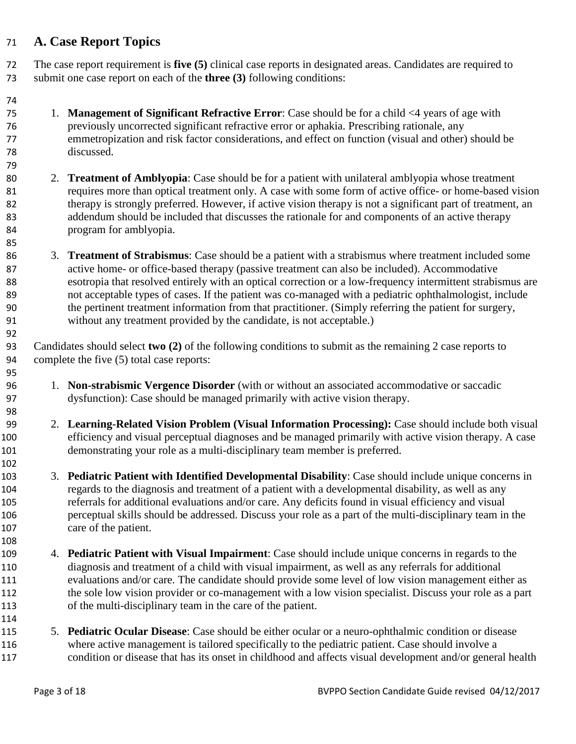#### **A. Case Report Topics**

The case report requirement is **five (5)** clinical case reports in designated areas. Candidates are required to submit one case report on each of the **three (3)** following conditions:

- 1. **Management of Significant Refractive Error**: Case should be for a child <4 years of age with previously uncorrected significant refractive error or aphakia. Prescribing rationale, any emmetropization and risk factor considerations, and effect on function (visual and other) should be discussed.
- 2. **Treatment of Amblyopia**: Case should be for a patient with unilateral amblyopia whose treatment 81 requires more than optical treatment only. A case with some form of active office- or home-based vision 82 therapy is strongly preferred. However, if active vision therapy is not a significant part of treatment, an addendum should be included that discusses the rationale for and components of an active therapy program for amblyopia.
- 3. **Treatment of Strabismus**: Case should be a patient with a strabismus where treatment included some active home- or office-based therapy (passive treatment can also be included). Accommodative esotropia that resolved entirely with an optical correction or a low-frequency intermittent strabismus are not acceptable types of cases. If the patient was co-managed with a pediatric ophthalmologist, include the pertinent treatment information from that practitioner. (Simply referring the patient for surgery, without any treatment provided by the candidate, is not acceptable.)

Candidates should select **two (2)** of the following conditions to submit as the remaining 2 case reports to complete the five (5) total case reports:

- 1. **Non-strabismic Vergence Disorder** (with or without an associated accommodative or saccadic dysfunction): Case should be managed primarily with active vision therapy.
- 2. **Learning-Related Vision Problem (Visual Information Processing):** Case should include both visual efficiency and visual perceptual diagnoses and be managed primarily with active vision therapy. A case demonstrating your role as a multi-disciplinary team member is preferred.
- 3. **Pediatric Patient with Identified Developmental Disability**: Case should include unique concerns in regards to the diagnosis and treatment of a patient with a developmental disability, as well as any referrals for additional evaluations and/or care. Any deficits found in visual efficiency and visual perceptual skills should be addressed. Discuss your role as a part of the multi-disciplinary team in the care of the patient.
- 4. **Pediatric Patient with Visual Impairment**: Case should include unique concerns in regards to the diagnosis and treatment of a child with visual impairment, as well as any referrals for additional evaluations and/or care. The candidate should provide some level of low vision management either as the sole low vision provider or co-management with a low vision specialist. Discuss your role as a part of the multi-disciplinary team in the care of the patient.
- 5. **Pediatric Ocular Disease**: Case should be either ocular or a neuro-ophthalmic condition or disease where active management is tailored specifically to the pediatric patient. Case should involve a condition or disease that has its onset in childhood and affects visual development and/or general health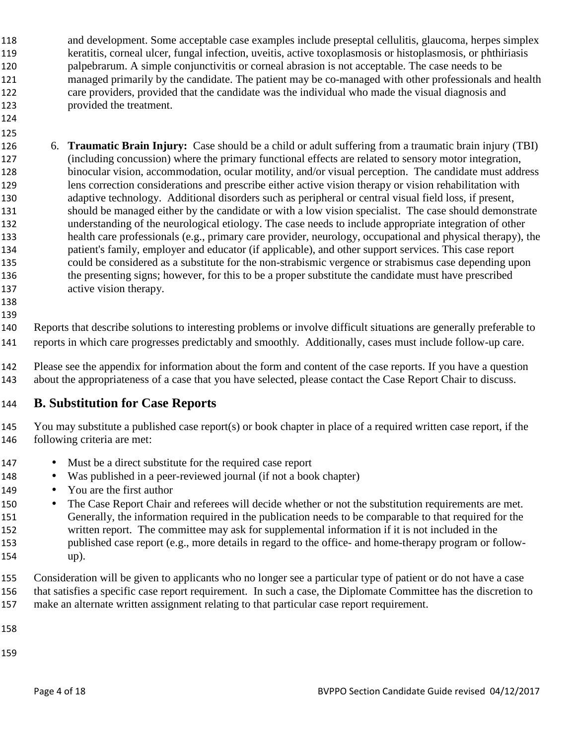- and development. Some acceptable case examples include preseptal cellulitis, glaucoma, herpes simplex keratitis, corneal ulcer, fungal infection, uveitis, active toxoplasmosis or histoplasmosis, or phthiriasis palpebrarum. A simple conjunctivitis or corneal abrasion is not acceptable. The case needs to be managed primarily by the candidate. The patient may be co-managed with other professionals and health care providers, provided that the candidate was the individual who made the visual diagnosis and provided the treatment.
- 6. **Traumatic Brain Injury:** Case should be a child or adult suffering from a traumatic brain injury (TBI) (including concussion) where the primary functional effects are related to sensory motor integration, binocular vision, accommodation, ocular motility, and/or visual perception. The candidate must address lens correction considerations and prescribe either active vision therapy or vision rehabilitation with adaptive technology. Additional disorders such as peripheral or central visual field loss, if present, should be managed either by the candidate or with a low vision specialist. The case should demonstrate understanding of the neurological etiology. The case needs to include appropriate integration of other health care professionals (e.g., primary care provider, neurology, occupational and physical therapy), the patient's family, employer and educator (if applicable), and other support services. This case report could be considered as a substitute for the non-strabismic vergence or strabismus case depending upon the presenting signs; however, for this to be a proper substitute the candidate must have prescribed active vision therapy.
- 

 

- Reports that describe solutions to interesting problems or involve difficult situations are generally preferable to reports in which care progresses predictably and smoothly. Additionally, cases must include follow-up care.
- Please see the appendix for information about the form and content of the case reports. If you have a question about the appropriateness of a case that you have selected, please contact the Case Report Chair to discuss.

### **B. Substitution for Case Reports**

- You may substitute a published case report(s) or book chapter in place of a required written case report, if the following criteria are met:
- Must be a direct substitute for the required case report
- Was published in a peer-reviewed journal (if not a book chapter)
- 149 You are the first author
- 150 The Case Report Chair and referees will decide whether or not the substitution requirements are met. Generally, the information required in the publication needs to be comparable to that required for the written report. The committee may ask for supplemental information if it is not included in the published case report (e.g., more details in regard to the office- and home-therapy program or follow-up).
- Consideration will be given to applicants who no longer see a particular type of patient or do not have a case that satisfies a specific case report requirement. In such a case, the Diplomate Committee has the discretion to make an alternate written assignment relating to that particular case report requirement.
- 
-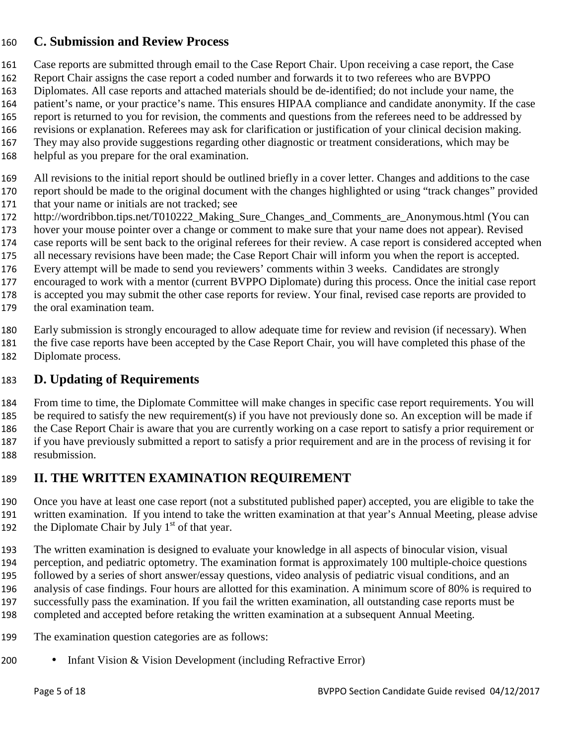#### **C. Submission and Review Process**

- Case reports are submitted through email to the Case Report Chair. Upon receiving a case report, the Case
- Report Chair assigns the case report a coded number and forwards it to two referees who are BVPPO
- Diplomates. All case reports and attached materials should be de-identified; do not include your name, the
- patient's name, or your practice's name. This ensures HIPAA compliance and candidate anonymity. If the case report is returned to you for revision, the comments and questions from the referees need to be addressed by
- revisions or explanation. Referees may ask for clarification or justification of your clinical decision making.
- They may also provide suggestions regarding other diagnostic or treatment considerations, which may be
- helpful as you prepare for the oral examination.
- All revisions to the initial report should be outlined briefly in a cover letter. Changes and additions to the case
- report should be made to the original document with the changes highlighted or using "track changes" provided that your name or initials are not tracked; see
- http://wordribbon.tips.net/T010222\_Making\_Sure\_Changes\_and\_Comments\_are\_Anonymous.html (You can
- hover your mouse pointer over a change or comment to make sure that your name does not appear). Revised
- case reports will be sent back to the original referees for their review. A case report is considered accepted when
- all necessary revisions have been made; the Case Report Chair will inform you when the report is accepted.
- Every attempt will be made to send you reviewers' comments within 3 weeks. Candidates are strongly
- encouraged to work with a mentor (current BVPPO Diplomate) during this process. Once the initial case report
- is accepted you may submit the other case reports for review. Your final, revised case reports are provided to
- the oral examination team.
- Early submission is strongly encouraged to allow adequate time for review and revision (if necessary). When
- the five case reports have been accepted by the Case Report Chair, you will have completed this phase of the Diplomate process.

### **D. Updating of Requirements**

From time to time, the Diplomate Committee will make changes in specific case report requirements. You will be required to satisfy the new requirement(s) if you have not previously done so. An exception will be made if the Case Report Chair is aware that you are currently working on a case report to satisfy a prior requirement or if you have previously submitted a report to satisfy a prior requirement and are in the process of revising it for resubmission.

### **II. THE WRITTEN EXAMINATION REQUIREMENT**

- Once you have at least one case report (not a substituted published paper) accepted, you are eligible to take the written examination. If you intend to take the written examination at that year's Annual Meeting, please advise 192 the Diplomate Chair by July  $1<sup>st</sup>$  of that year.
- The written examination is designed to evaluate your knowledge in all aspects of binocular vision, visual perception, and pediatric optometry. The examination format is approximately 100 multiple-choice questions followed by a series of short answer/essay questions, video analysis of pediatric visual conditions, and an analysis of case findings. Four hours are allotted for this examination. A minimum score of 80% is required to successfully pass the examination. If you fail the written examination, all outstanding case reports must be completed and accepted before retaking the written examination at a subsequent Annual Meeting.
- The examination question categories are as follows:
- Infant Vision & Vision Development (including Refractive Error)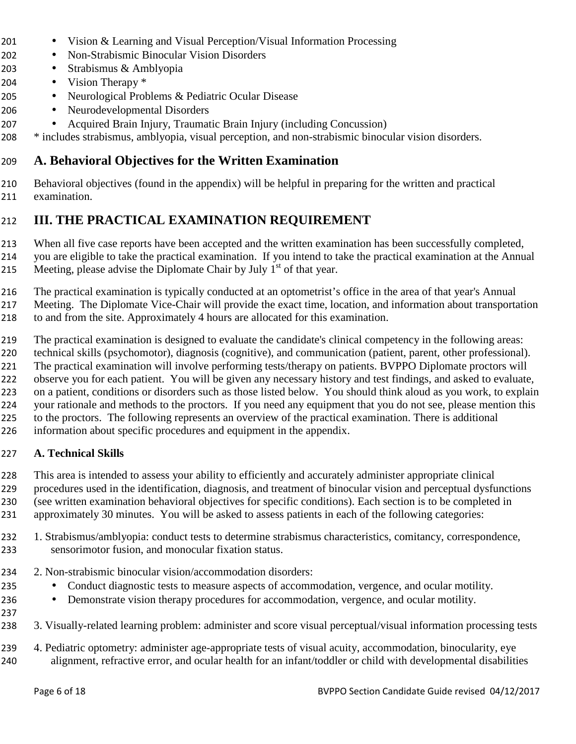- Vision & Learning and Visual Perception/Visual Information Processing
- Non-Strabismic Binocular Vision Disorders
- Strabismus & Amblyopia
- Vision Therapy \*
- Neurological Problems & Pediatric Ocular Disease
- Neurodevelopmental Disorders
- Acquired Brain Injury, Traumatic Brain Injury (including Concussion)

\* includes strabismus, amblyopia, visual perception, and non-strabismic binocular vision disorders.

### **A. Behavioral Objectives for the Written Examination**

Behavioral objectives (found in the appendix) will be helpful in preparing for the written and practical examination.

### **III. THE PRACTICAL EXAMINATION REQUIREMENT**

When all five case reports have been accepted and the written examination has been successfully completed,

you are eligible to take the practical examination. If you intend to take the practical examination at the Annual

215 Meeting, please advise the Diplomate Chair by July  $1<sup>st</sup>$  of that year.

The practical examination is typically conducted at an optometrist's office in the area of that year's Annual

Meeting. The Diplomate Vice-Chair will provide the exact time, location, and information about transportation

to and from the site. Approximately 4 hours are allocated for this examination.

The practical examination is designed to evaluate the candidate's clinical competency in the following areas:

technical skills (psychomotor), diagnosis (cognitive), and communication (patient, parent, other professional).

The practical examination will involve performing tests/therapy on patients. BVPPO Diplomate proctors will observe you for each patient. You will be given any necessary history and test findings, and asked to evaluate,

on a patient, conditions or disorders such as those listed below. You should think aloud as you work, to explain

your rationale and methods to the proctors. If you need any equipment that you do not see, please mention this

- to the proctors. The following represents an overview of the practical examination. There is additional
- information about specific procedures and equipment in the appendix.

#### **A. Technical Skills**

This area is intended to assess your ability to efficiently and accurately administer appropriate clinical

procedures used in the identification, diagnosis, and treatment of binocular vision and perceptual dysfunctions (see written examination behavioral objectives for specific conditions). Each section is to be completed in

approximately 30 minutes. You will be asked to assess patients in each of the following categories:

1. Strabismus/amblyopia: conduct tests to determine strabismus characteristics, comitancy, correspondence, sensorimotor fusion, and monocular fixation status.

2. Non-strabismic binocular vision/accommodation disorders:

- Conduct diagnostic tests to measure aspects of accommodation, vergence, and ocular motility.
- Demonstrate vision therapy procedures for accommodation, vergence, and ocular motility.
- 
- 3. Visually-related learning problem: administer and score visual perceptual/visual information processing tests

4. Pediatric optometry: administer age-appropriate tests of visual acuity, accommodation, binocularity, eye alignment, refractive error, and ocular health for an infant/toddler or child with developmental disabilities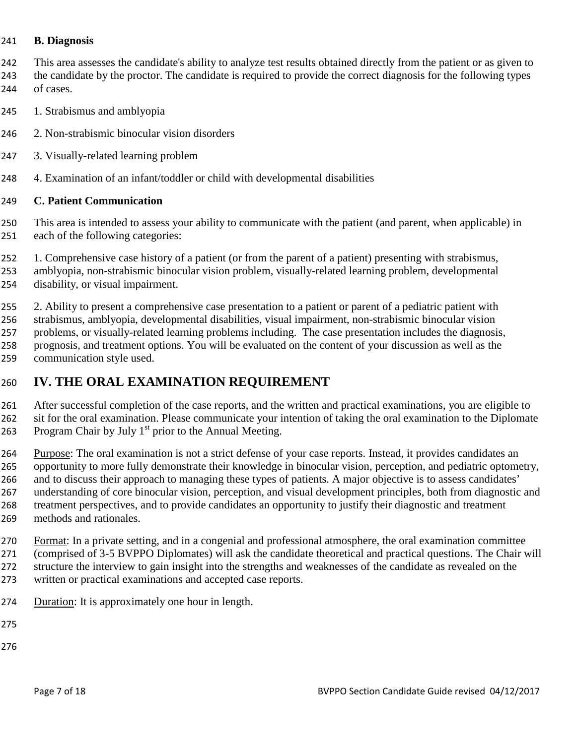#### **B. Diagnosis**

This area assesses the candidate's ability to analyze test results obtained directly from the patient or as given to 243 the candidate by the proctor. The candidate is required to provide the correct diagnosis for the following types of cases.

- 1. Strabismus and amblyopia
- 2. Non-strabismic binocular vision disorders
- 3. Visually-related learning problem
- 4. Examination of an infant/toddler or child with developmental disabilities

#### **C. Patient Communication**

This area is intended to assess your ability to communicate with the patient (and parent, when applicable) in each of the following categories:

- 1. Comprehensive case history of a patient (or from the parent of a patient) presenting with strabismus,
- amblyopia, non-strabismic binocular vision problem, visually-related learning problem, developmental disability, or visual impairment.

2. Ability to present a comprehensive case presentation to a patient or parent of a pediatric patient with

- strabismus, amblyopia, developmental disabilities, visual impairment, non-strabismic binocular vision problems, or visually-related learning problems including. The case presentation includes the diagnosis, prognosis, and treatment options. You will be evaluated on the content of your discussion as well as the
- communication style used.

#### **IV. THE ORAL EXAMINATION REQUIREMENT**

After successful completion of the case reports, and the written and practical examinations, you are eligible to sit for the oral examination. Please communicate your intention of taking the oral examination to the Diplomate 263 Program Chair by July  $1<sup>st</sup>$  prior to the Annual Meeting.

Purpose: The oral examination is not a strict defense of your case reports. Instead, it provides candidates an opportunity to more fully demonstrate their knowledge in binocular vision, perception, and pediatric optometry, 266 and to discuss their approach to managing these types of patients. A major objective is to assess candidates' understanding of core binocular vision, perception, and visual development principles, both from diagnostic and treatment perspectives, and to provide candidates an opportunity to justify their diagnostic and treatment methods and rationales.

Format: In a private setting, and in a congenial and professional atmosphere, the oral examination committee (comprised of 3-5 BVPPO Diplomates) will ask the candidate theoretical and practical questions. The Chair will structure the interview to gain insight into the strengths and weaknesses of the candidate as revealed on the written or practical examinations and accepted case reports.

- Duration: It is approximately one hour in length.
- 
-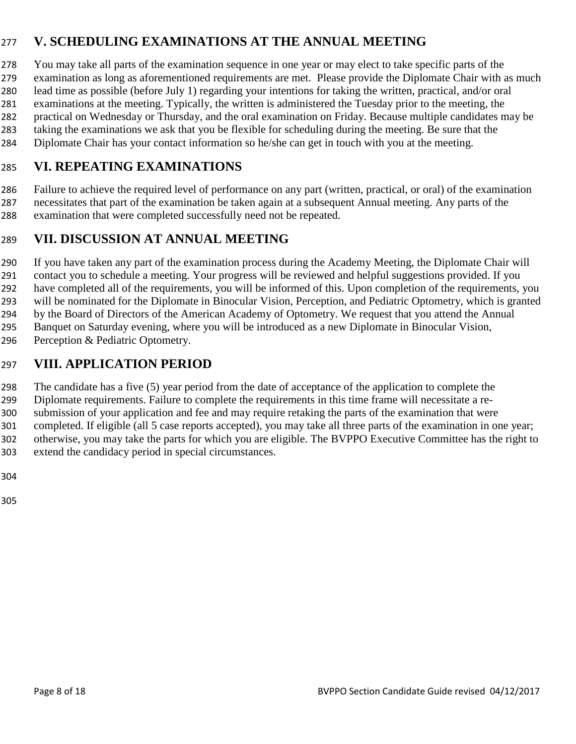### **V. SCHEDULING EXAMINATIONS AT THE ANNUAL MEETING**

You may take all parts of the examination sequence in one year or may elect to take specific parts of the

examination as long as aforementioned requirements are met. Please provide the Diplomate Chair with as much lead time as possible (before July 1) regarding your intentions for taking the written, practical, and/or oral

examinations at the meeting. Typically, the written is administered the Tuesday prior to the meeting, the

practical on Wednesday or Thursday, and the oral examination on Friday. Because multiple candidates may be

- taking the examinations we ask that you be flexible for scheduling during the meeting. Be sure that the
- Diplomate Chair has your contact information so he/she can get in touch with you at the meeting.

### **VI. REPEATING EXAMINATIONS**

Failure to achieve the required level of performance on any part (written, practical, or oral) of the examination necessitates that part of the examination be taken again at a subsequent Annual meeting. Any parts of the examination that were completed successfully need not be repeated.

### **VII. DISCUSSION AT ANNUAL MEETING**

If you have taken any part of the examination process during the Academy Meeting, the Diplomate Chair will contact you to schedule a meeting. Your progress will be reviewed and helpful suggestions provided. If you have completed all of the requirements, you will be informed of this. Upon completion of the requirements, you will be nominated for the Diplomate in Binocular Vision, Perception, and Pediatric Optometry, which is granted by the Board of Directors of the American Academy of Optometry. We request that you attend the Annual Banquet on Saturday evening, where you will be introduced as a new Diplomate in Binocular Vision, 296 Perception & Pediatric Optometry.

### **VIII. APPLICATION PERIOD**

The candidate has a five (5) year period from the date of acceptance of the application to complete the Diplomate requirements. Failure to complete the requirements in this time frame will necessitate a re-submission of your application and fee and may require retaking the parts of the examination that were completed. If eligible (all 5 case reports accepted), you may take all three parts of the examination in one year; otherwise, you may take the parts for which you are eligible. The BVPPO Executive Committee has the right to extend the candidacy period in special circumstances.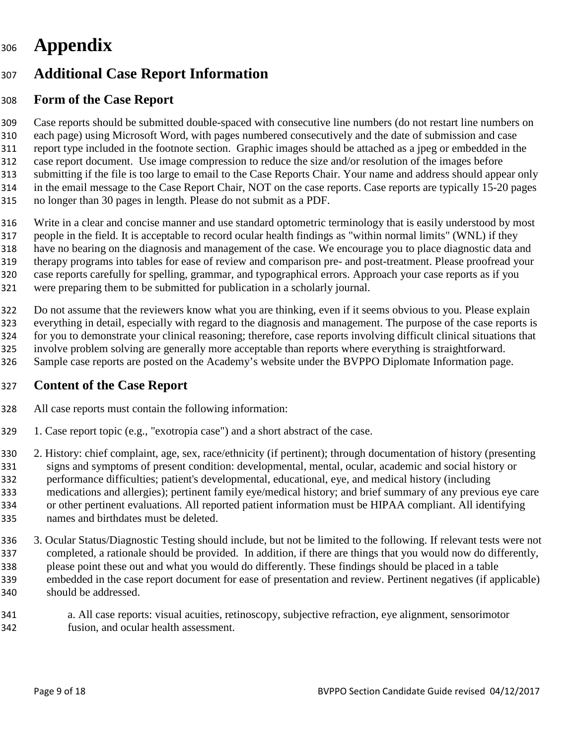# **Appendix**

# **Additional Case Report Information**

### **Form of the Case Report**

Case reports should be submitted double-spaced with consecutive line numbers (do not restart line numbers on each page) using Microsoft Word, with pages numbered consecutively and the date of submission and case report type included in the footnote section. Graphic images should be attached as a jpeg or embedded in the case report document. Use image compression to reduce the size and/or resolution of the images before submitting if the file is too large to email to the Case Reports Chair. Your name and address should appear only in the email message to the Case Report Chair, NOT on the case reports. Case reports are typically 15-20 pages no longer than 30 pages in length. Please do not submit as a PDF.

Write in a clear and concise manner and use standard optometric terminology that is easily understood by most people in the field. It is acceptable to record ocular health findings as "within normal limits" (WNL) if they have no bearing on the diagnosis and management of the case. We encourage you to place diagnostic data and therapy programs into tables for ease of review and comparison pre- and post-treatment. Please proofread your case reports carefully for spelling, grammar, and typographical errors. Approach your case reports as if you were preparing them to be submitted for publication in a scholarly journal.

Do not assume that the reviewers know what you are thinking, even if it seems obvious to you. Please explain everything in detail, especially with regard to the diagnosis and management. The purpose of the case reports is for you to demonstrate your clinical reasoning; therefore, case reports involving difficult clinical situations that involve problem solving are generally more acceptable than reports where everything is straightforward.

Sample case reports are posted on the Academy's website under the BVPPO Diplomate Information page.

#### **Content of the Case Report**

- All case reports must contain the following information:
- 1. Case report topic (e.g., "exotropia case") and a short abstract of the case.

2. History: chief complaint, age, sex, race/ethnicity (if pertinent); through documentation of history (presenting signs and symptoms of present condition: developmental, mental, ocular, academic and social history or performance difficulties; patient's developmental, educational, eye, and medical history (including medications and allergies); pertinent family eye/medical history; and brief summary of any previous eye care or other pertinent evaluations. All reported patient information must be HIPAA compliant. All identifying names and birthdates must be deleted.

- 3. Ocular Status/Diagnostic Testing should include, but not be limited to the following. If relevant tests were not completed, a rationale should be provided. In addition, if there are things that you would now do differently, please point these out and what you would do differently. These findings should be placed in a table embedded in the case report document for ease of presentation and review. Pertinent negatives (if applicable) should be addressed.
- a. All case reports: visual acuities, retinoscopy, subjective refraction, eye alignment, sensorimotor fusion, and ocular health assessment.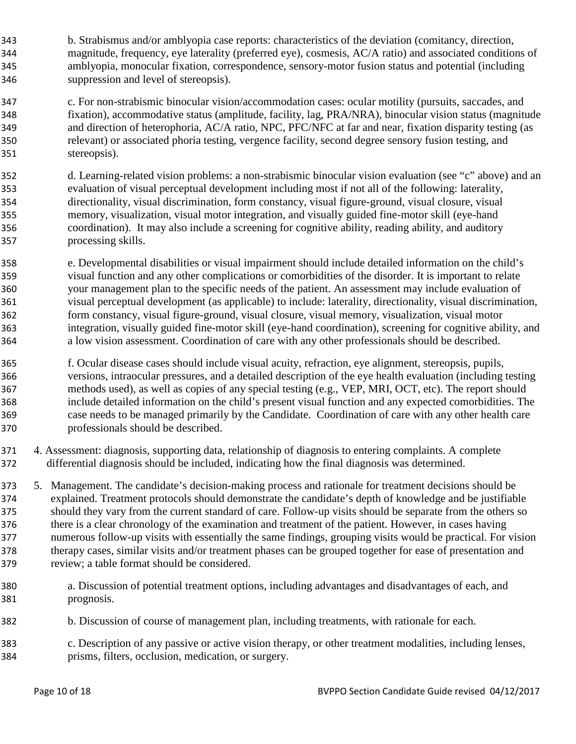- b. Strabismus and/or amblyopia case reports: characteristics of the deviation (comitancy, direction, magnitude, frequency, eye laterality (preferred eye), cosmesis, AC/A ratio) and associated conditions of amblyopia, monocular fixation, correspondence, sensory-motor fusion status and potential (including suppression and level of stereopsis).
- c. For non-strabismic binocular vision/accommodation cases: ocular motility (pursuits, saccades, and fixation), accommodative status (amplitude, facility, lag, PRA/NRA), binocular vision status (magnitude and direction of heterophoria, AC/A ratio, NPC, PFC/NFC at far and near, fixation disparity testing (as relevant) or associated phoria testing, vergence facility, second degree sensory fusion testing, and stereopsis).
- d. Learning-related vision problems: a non-strabismic binocular vision evaluation (see "c" above) and an evaluation of visual perceptual development including most if not all of the following: laterality, directionality, visual discrimination, form constancy, visual figure-ground, visual closure, visual memory, visualization, visual motor integration, and visually guided fine-motor skill (eye-hand coordination). It may also include a screening for cognitive ability, reading ability, and auditory processing skills.
- e. Developmental disabilities or visual impairment should include detailed information on the child's visual function and any other complications or comorbidities of the disorder. It is important to relate your management plan to the specific needs of the patient. An assessment may include evaluation of visual perceptual development (as applicable) to include: laterality, directionality, visual discrimination, form constancy, visual figure-ground, visual closure, visual memory, visualization, visual motor integration, visually guided fine-motor skill (eye-hand coordination), screening for cognitive ability, and a low vision assessment. Coordination of care with any other professionals should be described.
- f. Ocular disease cases should include visual acuity, refraction, eye alignment, stereopsis, pupils, versions, intraocular pressures, and a detailed description of the eye health evaluation (including testing methods used), as well as copies of any special testing (e.g., VEP, MRI, OCT, etc). The report should include detailed information on the child's present visual function and any expected comorbidities. The case needs to be managed primarily by the Candidate. Coordination of care with any other health care professionals should be described.
- 4. Assessment: diagnosis, supporting data, relationship of diagnosis to entering complaints. A complete differential diagnosis should be included, indicating how the final diagnosis was determined.
- 5. Management. The candidate's decision-making process and rationale for treatment decisions should be explained. Treatment protocols should demonstrate the candidate's depth of knowledge and be justifiable should they vary from the current standard of care. Follow-up visits should be separate from the others so there is a clear chronology of the examination and treatment of the patient. However, in cases having numerous follow-up visits with essentially the same findings, grouping visits would be practical. For vision therapy cases, similar visits and/or treatment phases can be grouped together for ease of presentation and review; a table format should be considered.
- a. Discussion of potential treatment options, including advantages and disadvantages of each, and prognosis.
- b. Discussion of course of management plan, including treatments, with rationale for each.
- c. Description of any passive or active vision therapy, or other treatment modalities, including lenses, prisms, filters, occlusion, medication, or surgery.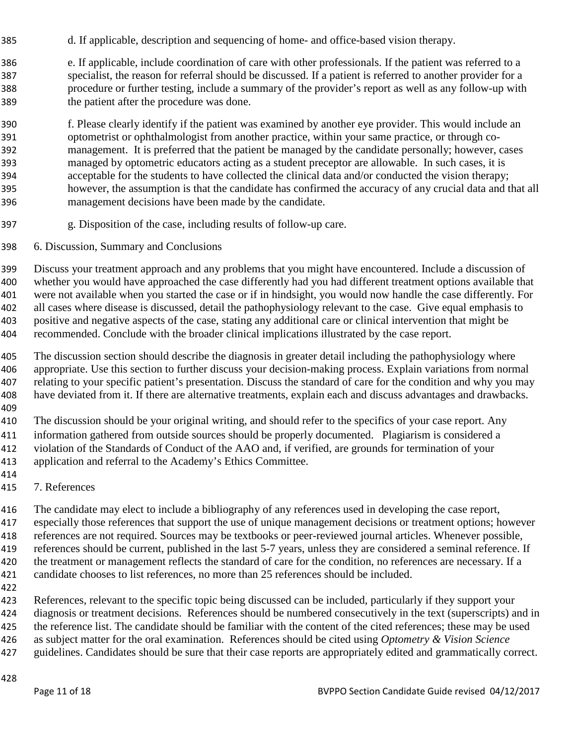- d. If applicable, description and sequencing of home- and office-based vision therapy.
- e. If applicable, include coordination of care with other professionals. If the patient was referred to a specialist, the reason for referral should be discussed. If a patient is referred to another provider for a procedure or further testing, include a summary of the provider's report as well as any follow-up with the patient after the procedure was done.
- f. Please clearly identify if the patient was examined by another eye provider. This would include an optometrist or ophthalmologist from another practice, within your same practice, or through co-management. It is preferred that the patient be managed by the candidate personally; however, cases managed by optometric educators acting as a student preceptor are allowable. In such cases, it is acceptable for the students to have collected the clinical data and/or conducted the vision therapy; however, the assumption is that the candidate has confirmed the accuracy of any crucial data and that all management decisions have been made by the candidate.
- g. Disposition of the case, including results of follow-up care.
- 6. Discussion, Summary and Conclusions

Discuss your treatment approach and any problems that you might have encountered. Include a discussion of whether you would have approached the case differently had you had different treatment options available that were not available when you started the case or if in hindsight, you would now handle the case differently. For all cases where disease is discussed, detail the pathophysiology relevant to the case. Give equal emphasis to positive and negative aspects of the case, stating any additional care or clinical intervention that might be recommended. Conclude with the broader clinical implications illustrated by the case report.

The discussion section should describe the diagnosis in greater detail including the pathophysiology where appropriate. Use this section to further discuss your decision-making process. Explain variations from normal 407 relating to your specific patient's presentation. Discuss the standard of care for the condition and why you may have deviated from it. If there are alternative treatments, explain each and discuss advantages and drawbacks. 

The discussion should be your original writing, and should refer to the specifics of your case report. Any information gathered from outside sources should be properly documented. Plagiarism is considered a violation of the Standards of Conduct of the AAO and, if verified, are grounds for termination of your application and referral to the Academy's Ethics Committee.

- 
- 7. References

The candidate may elect to include a bibliography of any references used in developing the case report, especially those references that support the use of unique management decisions or treatment options; however references are not required. Sources may be textbooks or peer-reviewed journal articles. Whenever possible, references should be current, published in the last 5-7 years, unless they are considered a seminal reference. If the treatment or management reflects the standard of care for the condition, no references are necessary. If a candidate chooses to list references, no more than 25 references should be included.

References, relevant to the specific topic being discussed can be included, particularly if they support your diagnosis or treatment decisions. References should be numbered consecutively in the text (superscripts) and in 425 the reference list. The candidate should be familiar with the content of the cited references; these may be used as subject matter for the oral examination. References should be cited using *Optometry & Vision Science* 427 guidelines. Candidates should be sure that their case reports are appropriately edited and grammatically correct.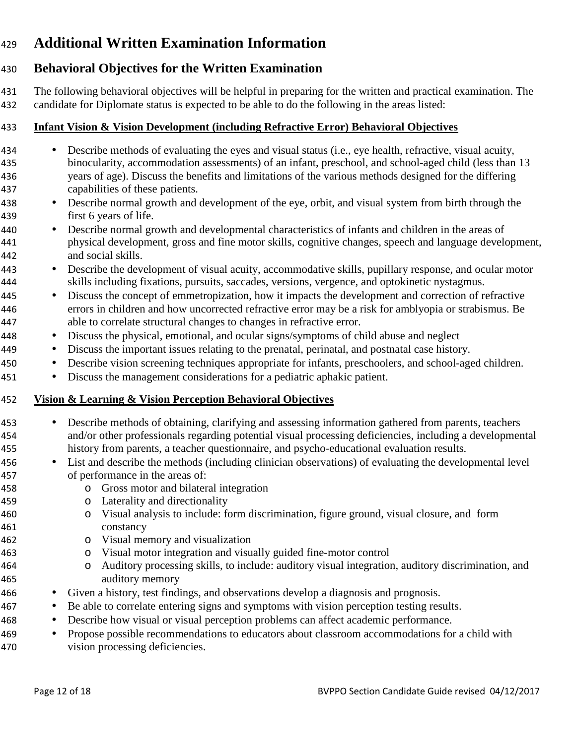# **Additional Written Examination Information**

# **Behavioral Objectives for the Written Examination**

The following behavioral objectives will be helpful in preparing for the written and practical examination. The candidate for Diplomate status is expected to be able to do the following in the areas listed:

#### **Infant Vision & Vision Development (including Refractive Error) Behavioral Objectives**

- Describe methods of evaluating the eyes and visual status (i.e., eye health, refractive, visual acuity, binocularity, accommodation assessments) of an infant, preschool, and school-aged child (less than 13 years of age). Discuss the benefits and limitations of the various methods designed for the differing capabilities of these patients.
- Describe normal growth and development of the eye, orbit, and visual system from birth through the first 6 years of life.
- Describe normal growth and developmental characteristics of infants and children in the areas of physical development, gross and fine motor skills, cognitive changes, speech and language development, and social skills.
- Describe the development of visual acuity, accommodative skills, pupillary response, and ocular motor skills including fixations, pursuits, saccades, versions, vergence, and optokinetic nystagmus.
- Discuss the concept of emmetropization, how it impacts the development and correction of refractive errors in children and how uncorrected refractive error may be a risk for amblyopia or strabismus. Be able to correlate structural changes to changes in refractive error.
- Discuss the physical, emotional, and ocular signs/symptoms of child abuse and neglect
- Discuss the important issues relating to the prenatal, perinatal, and postnatal case history.
- Describe vision screening techniques appropriate for infants, preschoolers, and school-aged children.
- Discuss the management considerations for a pediatric aphakic patient.

### **Vision & Learning & Vision Perception Behavioral Objectives**

- Describe methods of obtaining, clarifying and assessing information gathered from parents, teachers and/or other professionals regarding potential visual processing deficiencies, including a developmental history from parents, a teacher questionnaire, and psycho-educational evaluation results.
- List and describe the methods (including clinician observations) of evaluating the developmental level of performance in the areas of:
- o Gross motor and bilateral integration
- o Laterality and directionality
- o Visual analysis to include: form discrimination, figure ground, visual closure, and form constancy
- o Visual memory and visualization
- o Visual motor integration and visually guided fine-motor control
- o Auditory processing skills, to include: auditory visual integration, auditory discrimination, and auditory memory
- Given a history, test findings, and observations develop a diagnosis and prognosis.
- Be able to correlate entering signs and symptoms with vision perception testing results.
- Describe how visual or visual perception problems can affect academic performance.
- Propose possible recommendations to educators about classroom accommodations for a child with vision processing deficiencies.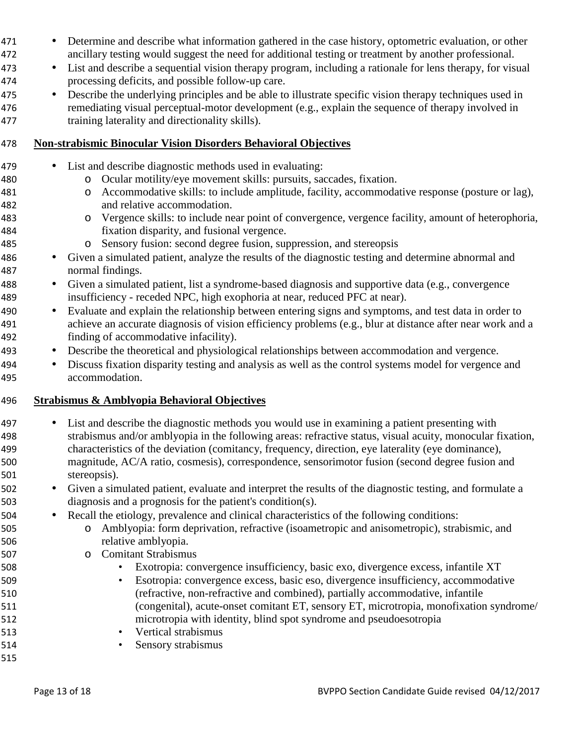- Determine and describe what information gathered in the case history, optometric evaluation, or other ancillary testing would suggest the need for additional testing or treatment by another professional.
- List and describe a sequential vision therapy program, including a rationale for lens therapy, for visual processing deficits, and possible follow-up care.
- Describe the underlying principles and be able to illustrate specific vision therapy techniques used in remediating visual perceptual-motor development (e.g., explain the sequence of therapy involved in training laterality and directionality skills).

#### **Non-strabismic Binocular Vision Disorders Behavioral Objectives**

- List and describe diagnostic methods used in evaluating:
- o Ocular motility/eye movement skills: pursuits, saccades, fixation.
- o Accommodative skills: to include amplitude, facility, accommodative response (posture or lag), and relative accommodation.
- o Vergence skills: to include near point of convergence, vergence facility, amount of heterophoria, fixation disparity, and fusional vergence.
- o Sensory fusion: second degree fusion, suppression, and stereopsis
- Given a simulated patient, analyze the results of the diagnostic testing and determine abnormal and normal findings.
- Given a simulated patient, list a syndrome-based diagnosis and supportive data (e.g., convergence insufficiency - receded NPC, high exophoria at near, reduced PFC at near).
- Evaluate and explain the relationship between entering signs and symptoms, and test data in order to achieve an accurate diagnosis of vision efficiency problems (e.g., blur at distance after near work and a finding of accommodative infacility).
- Describe the theoretical and physiological relationships between accommodation and vergence.
- Discuss fixation disparity testing and analysis as well as the control systems model for vergence and accommodation.

#### **Strabismus & Amblyopia Behavioral Objectives**

- List and describe the diagnostic methods you would use in examining a patient presenting with strabismus and/or amblyopia in the following areas: refractive status, visual acuity, monocular fixation, characteristics of the deviation (comitancy, frequency, direction, eye laterality (eye dominance), magnitude, AC/A ratio, cosmesis), correspondence, sensorimotor fusion (second degree fusion and stereopsis).
- Given a simulated patient, evaluate and interpret the results of the diagnostic testing, and formulate a diagnosis and a prognosis for the patient's condition(s).
- Recall the etiology, prevalence and clinical characteristics of the following conditions:
- o Amblyopia: form deprivation, refractive (isoametropic and anisometropic), strabismic, and relative amblyopia.
- o Comitant Strabismus
- Exotropia: convergence insufficiency, basic exo, divergence excess, infantile XT
- Esotropia: convergence excess, basic eso, divergence insufficiency, accommodative (refractive, non-refractive and combined), partially accommodative, infantile (congenital), acute-onset comitant ET, sensory ET, microtropia, monofixation syndrome/ microtropia with identity, blind spot syndrome and pseudoesotropia
- Vertical strabismus
- Sensory strabismus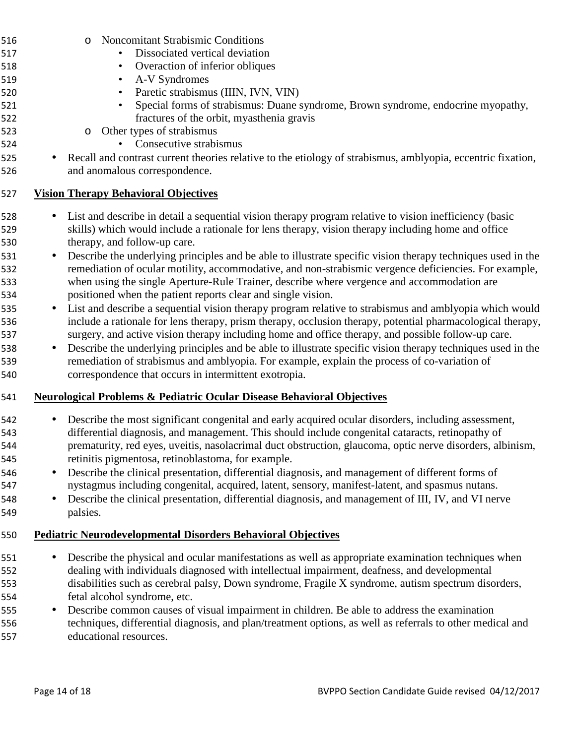|           | <b>Noncomitant Strabismic Conditions</b><br>$\circ$                                                                                                                                                                                                                                                                                                                                |
|-----------|------------------------------------------------------------------------------------------------------------------------------------------------------------------------------------------------------------------------------------------------------------------------------------------------------------------------------------------------------------------------------------|
|           | Dissociated vertical deviation                                                                                                                                                                                                                                                                                                                                                     |
|           | Overaction of inferior obliques<br>$\bullet$                                                                                                                                                                                                                                                                                                                                       |
|           | A-V Syndromes<br>$\bullet$                                                                                                                                                                                                                                                                                                                                                         |
|           | Paretic strabismus (IIIN, IVN, VIN)<br>$\bullet$                                                                                                                                                                                                                                                                                                                                   |
|           | Special forms of strabismus: Duane syndrome, Brown syndrome, endocrine myopathy,                                                                                                                                                                                                                                                                                                   |
|           | fractures of the orbit, myasthenia gravis                                                                                                                                                                                                                                                                                                                                          |
|           | Other types of strabismus<br>$\circ$                                                                                                                                                                                                                                                                                                                                               |
|           | Consecutive strabismus                                                                                                                                                                                                                                                                                                                                                             |
|           | • Recall and contrast current theories relative to the etiology of strabismus, amblyopia, eccentric fixation,                                                                                                                                                                                                                                                                      |
|           | and anomalous correspondence.                                                                                                                                                                                                                                                                                                                                                      |
|           | <b>Vision Therapy Behavioral Objectives</b>                                                                                                                                                                                                                                                                                                                                        |
|           | List and describe in detail a sequential vision therapy program relative to vision inefficiency (basic<br>skills) which would include a rationale for lens therapy, vision therapy including home and office<br>therapy, and follow-up care.                                                                                                                                       |
| $\bullet$ | Describe the underlying principles and be able to illustrate specific vision therapy techniques used in the<br>remediation of ocular motility, accommodative, and non-strabismic vergence deficiencies. For example,<br>when using the single Aperture-Rule Trainer, describe where vergence and accommodation are<br>positioned when the patient reports clear and single vision. |
|           |                                                                                                                                                                                                                                                                                                                                                                                    |
| $\bullet$ | List and describe a sequential vision therapy program relative to strabismus and amblyopia which would<br>include a rationale for lens therapy, prism therapy, occlusion therapy, potential pharmacological therapy,<br>surgery, and active vision therapy including home and office therapy, and possible follow-up care.                                                         |
| $\bullet$ | Describe the underlying principles and be able to illustrate specific vision therapy techniques used in the<br>remediation of strabismus and amblyopia. For example, explain the process of co-variation of<br>correspondence that occurs in intermittent exotropia.                                                                                                               |
|           | <b>Neurological Problems &amp; Pediatric Ocular Disease Behavioral Objectives</b>                                                                                                                                                                                                                                                                                                  |
|           | Describe the most significant congenital and early acquired ocular disorders, including assessment,<br>differential diagnosis, and management. This should include congenital cataracts, retinopathy of<br>prematurity, red eyes, uveitis, nasolacrimal duct obstruction, glaucoma, optic nerve disorders, albinism,<br>retinitis pigmentosa, retinoblastoma, for example.         |
| $\bullet$ | Describe the clinical presentation, differential diagnosis, and management of different forms of                                                                                                                                                                                                                                                                                   |
|           | nystagmus including congenital, acquired, latent, sensory, manifest-latent, and spasmus nutans.                                                                                                                                                                                                                                                                                    |
| $\bullet$ | Describe the clinical presentation, differential diagnosis, and management of III, IV, and VI nerve                                                                                                                                                                                                                                                                                |
|           | palsies.                                                                                                                                                                                                                                                                                                                                                                           |
|           | <b>Pediatric Neurodevelopmental Disorders Behavioral Objectives</b>                                                                                                                                                                                                                                                                                                                |
|           | Describe the physical and ocular manifestations as well as appropriate examination techniques when                                                                                                                                                                                                                                                                                 |
|           | dealing with individuals diagnosed with intellectual impairment, deafness, and developmental                                                                                                                                                                                                                                                                                       |
|           | disabilities such as cerebral palsy, Down syndrome, Fragile X syndrome, autism spectrum disorders,                                                                                                                                                                                                                                                                                 |
|           | fetal alcohol syndrome, etc.                                                                                                                                                                                                                                                                                                                                                       |
| $\bullet$ | Describe common causes of visual impairment in children. Be able to address the examination                                                                                                                                                                                                                                                                                        |
|           | techniques, differential diagnosis, and plan/treatment options, as well as referrals to other medical and<br>educational resources.                                                                                                                                                                                                                                                |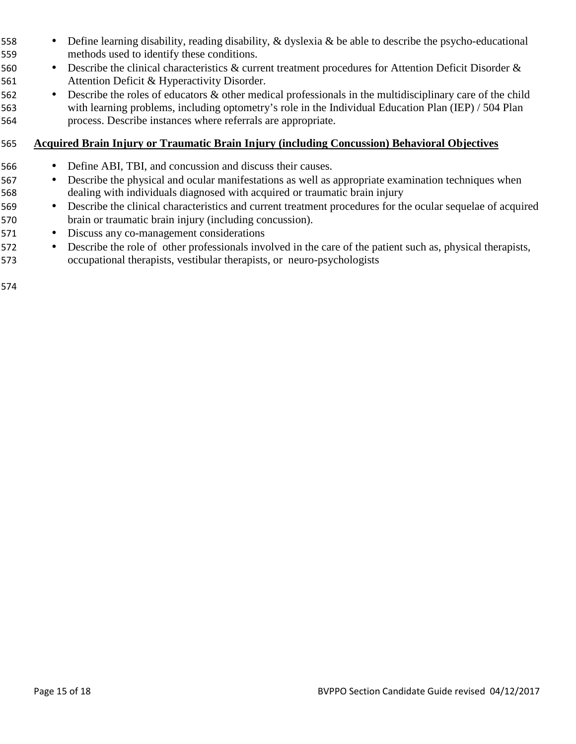- Define learning disability, reading disability, & dyslexia & be able to describe the psycho-educational methods used to identify these conditions.
- Describe the clinical characteristics & current treatment procedures for Attention Deficit Disorder & Attention Deficit & Hyperactivity Disorder.
- Describe the roles of educators & other medical professionals in the multidisciplinary care of the child with learning problems, including optometry's role in the Individual Education Plan (IEP) / 504 Plan process. Describe instances where referrals are appropriate.

#### **Acquired Brain Injury or Traumatic Brain Injury (including Concussion) Behavioral Objectives**

- Define ABI, TBI, and concussion and discuss their causes.
- Describe the physical and ocular manifestations as well as appropriate examination techniques when dealing with individuals diagnosed with acquired or traumatic brain injury
- Describe the clinical characteristics and current treatment procedures for the ocular sequelae of acquired brain or traumatic brain injury (including concussion).
- Discuss any co-management considerations
- Describe the role of other professionals involved in the care of the patient such as, physical therapists, occupational therapists, vestibular therapists, or neuro-psychologists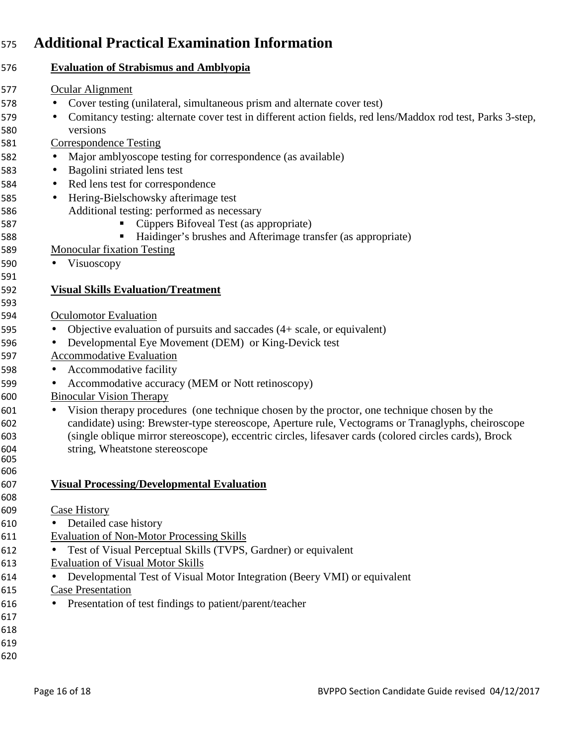# **Additional Practical Examination Information**

|           | <b>Evaluation of Strabismus and Amblyopia</b>                                                               |
|-----------|-------------------------------------------------------------------------------------------------------------|
|           | Ocular Alignment                                                                                            |
|           | Cover testing (unilateral, simultaneous prism and alternate cover test)                                     |
| $\bullet$ | Comitancy testing: alternate cover test in different action fields, red lens/Maddox rod test, Parks 3-step, |
|           | versions                                                                                                    |
|           | <b>Correspondence Testing</b>                                                                               |
| $\bullet$ | Major amblyoscope testing for correspondence (as available)                                                 |
| $\bullet$ | Bagolini striated lens test                                                                                 |
| $\bullet$ | Red lens test for correspondence                                                                            |
| $\bullet$ | Hering-Bielschowsky afterimage test                                                                         |
|           | Additional testing: performed as necessary                                                                  |
|           | Cüppers Bifoveal Test (as appropriate)                                                                      |
|           | Haidinger's brushes and Afterimage transfer (as appropriate)                                                |
|           | <b>Monocular fixation Testing</b>                                                                           |
|           | Visuoscopy                                                                                                  |
|           |                                                                                                             |
|           | <b>Visual Skills Evaluation/Treatment</b>                                                                   |
|           |                                                                                                             |
|           | <b>Oculomotor Evaluation</b>                                                                                |
| $\bullet$ | Objective evaluation of pursuits and saccades $(4 + scale, or equivalent)$                                  |
| $\bullet$ | Developmental Eye Movement (DEM) or King-Devick test                                                        |
|           | Accommodative Evaluation                                                                                    |
| $\bullet$ | Accommodative facility                                                                                      |
| $\bullet$ | Accommodative accuracy (MEM or Nott retinoscopy)                                                            |
|           | <b>Binocular Vision Therapy</b>                                                                             |
| $\bullet$ | Vision therapy procedures (one technique chosen by the proctor, one technique chosen by the                 |
|           | candidate) using: Brewster-type stereoscope, Aperture rule, Vectograms or Tranaglyphs, cheiroscope          |
|           | (single oblique mirror stereoscope), eccentric circles, lifesaver cards (colored circles cards), Brock      |
|           | string, Wheatstone stereoscope                                                                              |
|           |                                                                                                             |
|           |                                                                                                             |
|           | <b>Visual Processing/Developmental Evaluation</b>                                                           |
|           | Case History                                                                                                |
| $\bullet$ | Detailed case history                                                                                       |
|           | <b>Evaluation of Non-Motor Processing Skills</b>                                                            |
|           |                                                                                                             |
|           | Test of Visual Perceptual Skills (TVPS, Gardner) or equivalent                                              |
|           | <b>Evaluation of Visual Motor Skills</b>                                                                    |
|           | Developmental Test of Visual Motor Integration (Beery VMI) or equivalent                                    |
|           | <b>Case Presentation</b>                                                                                    |
|           | Presentation of test findings to patient/parent/teacher                                                     |
|           |                                                                                                             |
|           |                                                                                                             |
|           |                                                                                                             |
|           |                                                                                                             |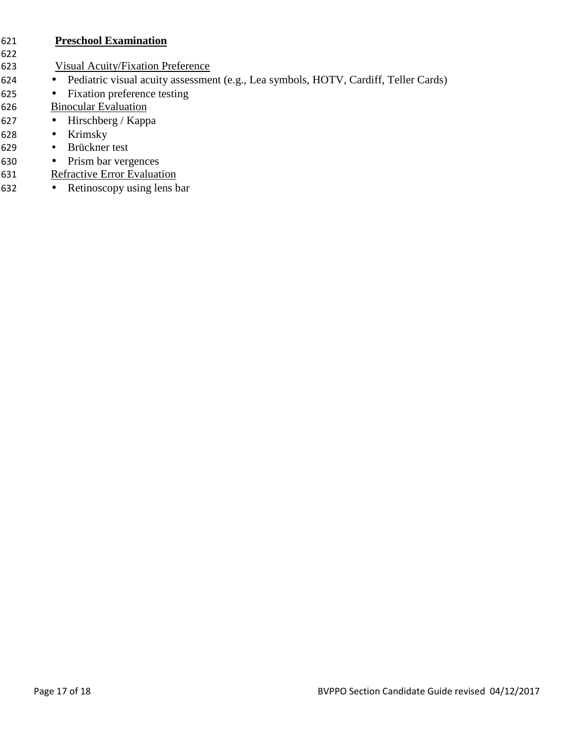#### **Preschool Examination**

- 
- Visual Acuity/Fixation Preference
- Pediatric visual acuity assessment (e.g., Lea symbols, HOTV, Cardiff, Teller Cards)
- Fixation preference testing
- Binocular Evaluation
- Hirschberg / Kappa
- Krimsky
- Brückner test
- Prism bar vergences
- Refractive Error Evaluation
- Retinoscopy using lens bar